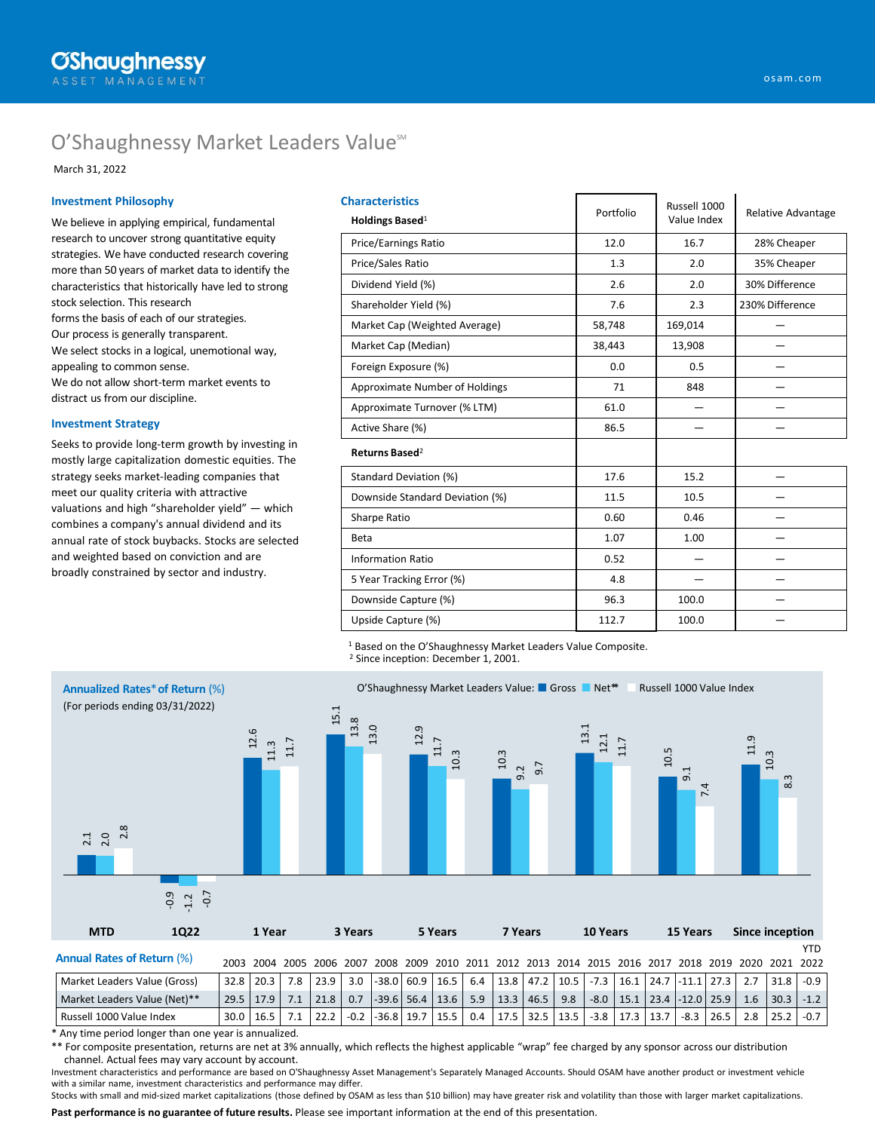# O'Shaughnessy Market Leaders Value<sup>506</sup>

March 31, 2022

#### **Investment Philosophy**

We believe in applying empirical, fundamental research to uncover strong quantitative equity strategies. We have conducted research covering more than 50 years of market data to identify the characteristics that historically have led to strong stock selection. This research forms the basis of each of our strategies. Our process is generally transparent. We select stocks in a logical, unemotional way, appealing to common sense. We do not allow short-term market events to distract us from our discipline.

#### **Investment Strategy**

Seeks to provide long-term growth by investing in mostly large capitalization domestic equities. The strategy seeks market-leading companies that meet our quality criteria with attractive valuations and high "shareholder yield" — which combines a company's annual dividend and its annual rate of stock buybacks. Stocks are selected and weighted based on conviction and are broadly constrained by sector and industry.

| <b>Characteristics</b>          |           | Russell 1000 | Relative Advantage |  |  |
|---------------------------------|-----------|--------------|--------------------|--|--|
| Holdings Based <sup>1</sup>     | Portfolio | Value Index  |                    |  |  |
| Price/Earnings Ratio            | 12.0      | 16.7         | 28% Cheaper        |  |  |
| Price/Sales Ratio               | 1.3       | 2.0          | 35% Cheaper        |  |  |
| Dividend Yield (%)              | 2.6       | 2.0          | 30% Difference     |  |  |
| Shareholder Yield (%)           | 7.6       | 2.3          | 230% Difference    |  |  |
| Market Cap (Weighted Average)   | 58,748    | 169,014      |                    |  |  |
| Market Cap (Median)             | 38,443    | 13,908       |                    |  |  |
| Foreign Exposure (%)            | 0.0       | 0.5          |                    |  |  |
| Approximate Number of Holdings  | 71        | 848          |                    |  |  |
| Approximate Turnover (% LTM)    | 61.0      |              |                    |  |  |
| Active Share (%)                | 86.5      |              |                    |  |  |
| Returns Based <sup>2</sup>      |           |              |                    |  |  |
| Standard Deviation (%)          | 17.6      | 15.2         |                    |  |  |
| Downside Standard Deviation (%) | 11.5      | 10.5         |                    |  |  |
| Sharpe Ratio                    | 0.60      | 0.46         |                    |  |  |
| Beta                            | 1.07      | 1.00         |                    |  |  |
| <b>Information Ratio</b>        | 0.52      |              |                    |  |  |
| 5 Year Tracking Error (%)       | 4.8       |              |                    |  |  |
| Downside Capture (%)            | 96.3      | 100.0        |                    |  |  |
| Upside Capture (%)              | 112.7     | 100.0        |                    |  |  |

<sup>1</sup> Based on the O'Shaughnessy Market Leaders Value Composite.

<sup>2</sup> Since inception: December 1, 2001.



\* Any time period longer than one year is annualized.

\*\* For composite presentation, returns are net at 3% annually, which reflects the highest applicable "wrap" fee charged by any sponsor across our distribution channel. Actual fees may vary account by account.

Investment characteristics and performance are based on O'Shaughnessy Asset Management's Separately Managed Accounts. Should OSAM have another product or investment vehicle with a similar name, investment characteristics and performance may differ.

Stocks with small and mid-sized market capitalizations (those defined by OSAM as less than \$10 billion) may have greater risk and volatility than those with larger market capitalizations.

**Past performance is no guarantee of future results.** Please see important information at the end of this presentation.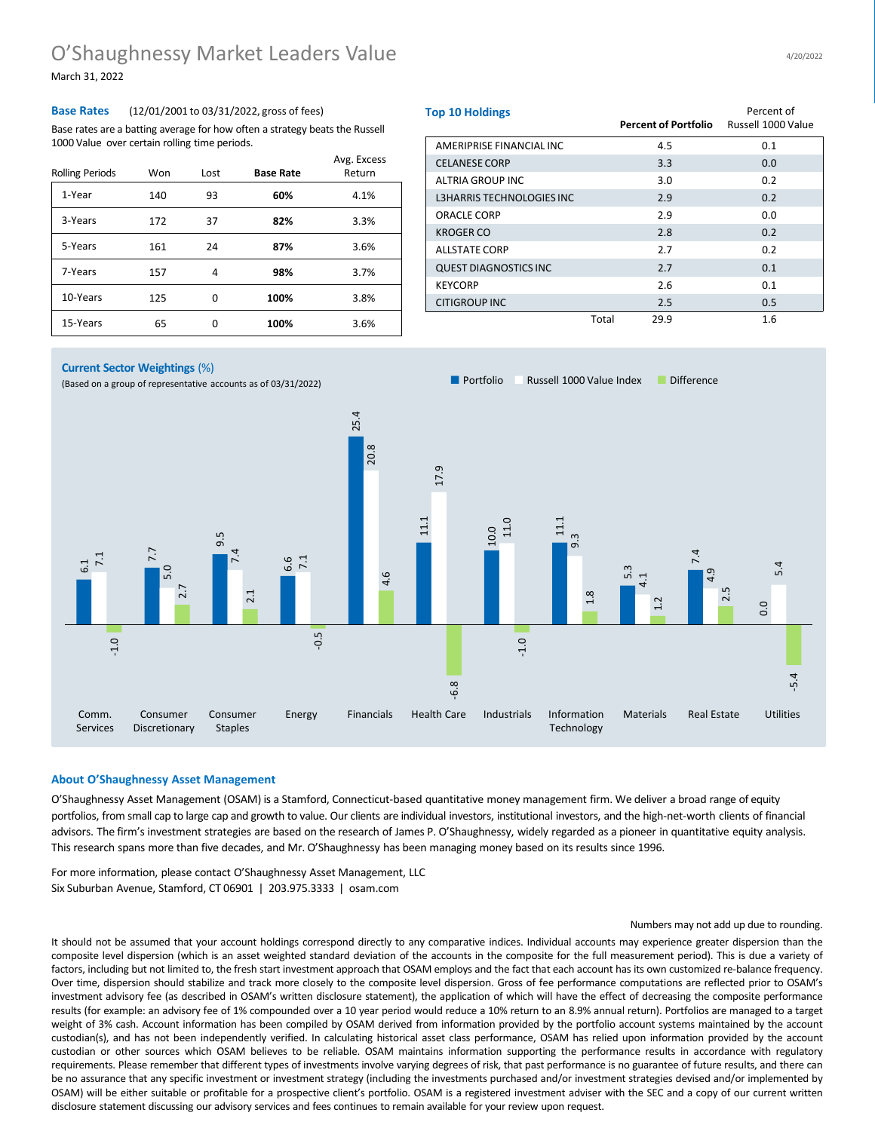### O'Shaughnessy Market Leaders Value March 31, 2022

**Base Rates** (12/01/2001 to 03/31/2022, gross of fees) Base rates are a batting average for how often a strategy beats the Russell 1000 Value over certain rolling time periods.

| <b>Rolling Periods</b> | Won | Lost | <b>Base Rate</b> | Avg. Excess<br>Return |
|------------------------|-----|------|------------------|-----------------------|
| 1-Year                 | 140 | 93   | 60%              | 4.1%                  |
| 3-Years                | 172 | 37   | 82%              | 3.3%                  |
| 5-Years                | 161 | 24   | 87%              | 3.6%                  |
| 7-Years                | 157 | 4    | 98%              | 3.7%                  |
| 10-Years               | 125 | 0    | 100%             | 3.8%                  |
| 15-Years               | 65  | ŋ    | 100%             | 3.6%                  |

| <b>Top 10 Holdings</b>       |       | Percent of Portfolio | Percent of<br>Russell 1000 Value |  |  |
|------------------------------|-------|----------------------|----------------------------------|--|--|
| AMERIPRISE FINANCIAL INC     |       | 4.5                  | 0.1                              |  |  |
| <b>CELANESE CORP</b>         |       | 3.3                  | 0.0                              |  |  |
| ALTRIA GROUP INC             |       | 3.0                  | 0.2                              |  |  |
| L3HARRIS TECHNOLOGIES INC    |       | 2.9                  | 0.2                              |  |  |
| ORACLE CORP                  |       | 2.9                  | 0.0                              |  |  |
| KROGER CO                    |       | 2.8                  | 0.2                              |  |  |
| <b>ALLSTATE CORP</b>         |       | 2.7                  | 0.2                              |  |  |
| <b>QUEST DIAGNOSTICS INC</b> |       | 2.7                  | 0.1                              |  |  |
| <b>KEYCORP</b>               |       | 2.6                  | 0.1                              |  |  |
| <b>CITIGROUP INC</b>         |       | 2.5                  | 0.5                              |  |  |
|                              | Total | 29.9                 | 1.6                              |  |  |

#### **Current Sector Weightings** (%)

■ Portfolio ■ Russell 1000 Value Index ■ Difference (Based on a group of representative accounts as of 03/31/2022)



#### **About O'Shaughnessy Asset Management**

O'Shaughnessy Asset Management (OSAM) is a Stamford, Connecticut-based quantitative money management firm. We deliver a broad range of equity portfolios, from small cap to large cap and growth to value. Our clients are individual investors, institutional investors, and the high-net-worth clients of financial advisors. The firm's investment strategies are based on the research of James P. O'Shaughnessy, widely regarded as a pioneer in quantitative equity analysis. This research spans more than five decades, and Mr. O'Shaughnessy has been managing money based on its results since 1996.

For more information, please contact O'Shaughnessy Asset Management, LLC Six Suburban Avenue, Stamford, CT 06901 | 203.975.3333 | osam.com

#### Numbers may not add up due to rounding.

It should not be assumed that your account holdings correspond directly to any comparative indices. Individual accounts may experience greater dispersion than the composite level dispersion (which is an asset weighted standard deviation of the accounts in the composite for the full measurement period). This is due a variety of factors, including but not limited to, the fresh start investment approach that OSAM employs and the fact that each account has its own customized re-balance frequency. Over time, dispersion should stabilize and track more closely to the composite level dispersion. Gross of fee performance computations are reflected prior to OSAM's investment advisory fee (as described in OSAM's written disclosure statement), the application of which will have the effect of decreasing the composite performance results (for example: an advisory fee of 1% compounded over a 10 year period would reduce a 10% return to an 8.9% annual return). Portfolios are managed to a target weight of 3% cash. Account information has been compiled by OSAM derived from information provided by the portfolio account systems maintained by the account custodian(s), and has not been independently verified. In calculating historical asset class performance, OSAM has relied upon information provided by the account custodian or other sources which OSAM believes to be reliable. OSAM maintains information supporting the performance results in accordance with regulatory requirements. Please remember that different types of investments involve varying degrees of risk, that past performance is no guarantee of future results, and there can be no assurance that any specific investment or investment strategy (including the investments purchased and/or investment strategies devised and/or implemented by OSAM) will be either suitable or profitable for a prospective client's portfolio. OSAM is a registered investment adviser with the SEC and a copy of our current written disclosure statement discussing our advisory services and fees continues to remain available for your review upon request.